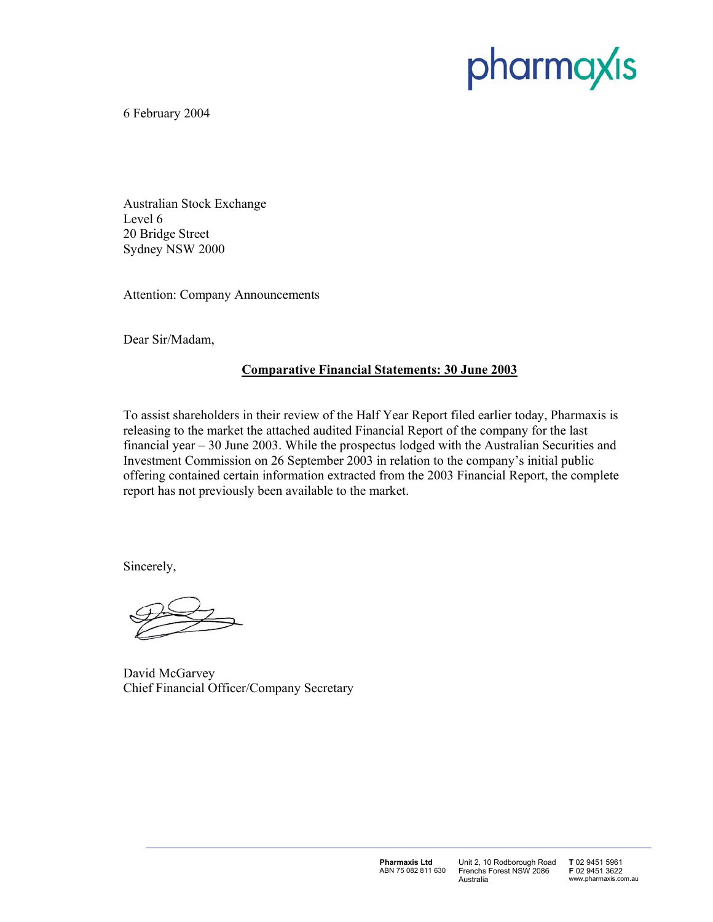# pharmaxis

6 February 2004

Australian Stock Exchange Level 6 20 Bridge Street Sydney NSW 2000

Attention: Company Announcements

Dear Sir/Madam,

#### **Comparative Financial Statements: 30 June 2003**

To assist shareholders in their review of the Half Year Report filed earlier today, Pharmaxis is releasing to the market the attached audited Financial Report of the company for the last financial year – 30 June 2003. While the prospectus lodged with the Australian Securities and Investment Commission on 26 September 2003 in relation to the company's initial public offering contained certain information extracted from the 2003 Financial Report, the complete report has not previously been available to the market.

Sincerely,

David McGarvey Chief Financial Officer/Company Secretary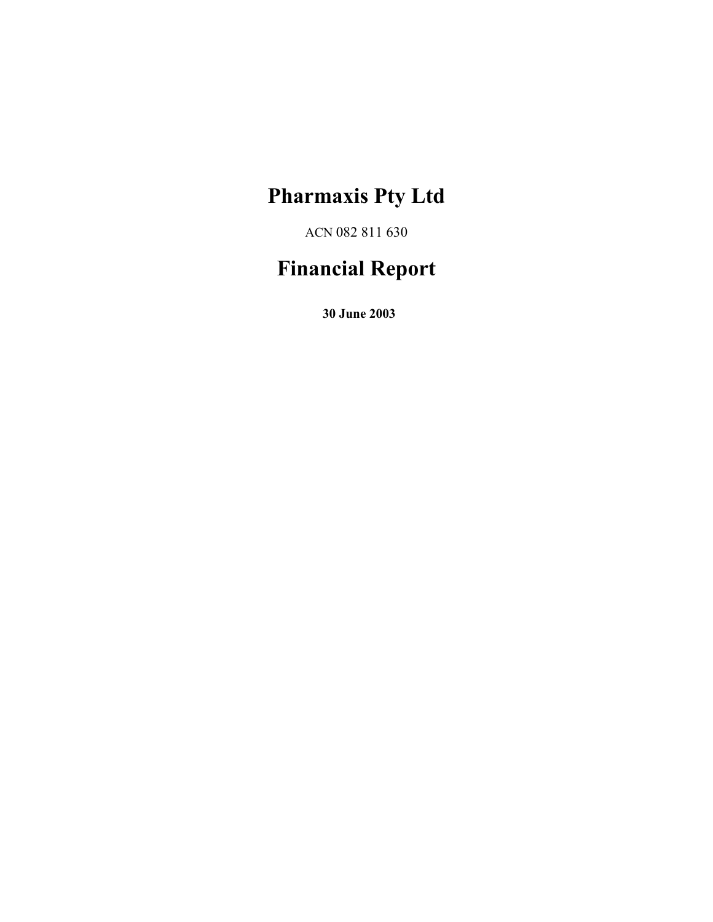ACN 082 811 630

### **Financial Report**

**30 June 2003**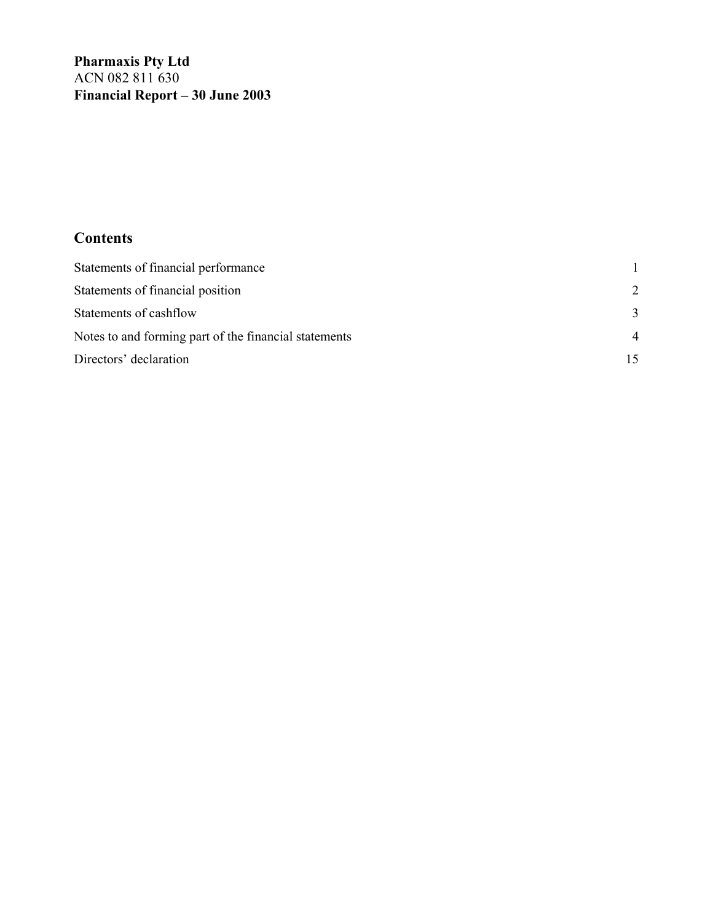**Pharmaxis Pty Ltd**  ACN 082 811 630 **Financial Report – 30 June 2003** 

### **Contents**

| Statements of financial performance                   |                |
|-------------------------------------------------------|----------------|
| Statements of financial position                      | 2              |
| Statements of cashflow                                | 3              |
| Notes to and forming part of the financial statements | $\overline{4}$ |
| Directors' declaration                                |                |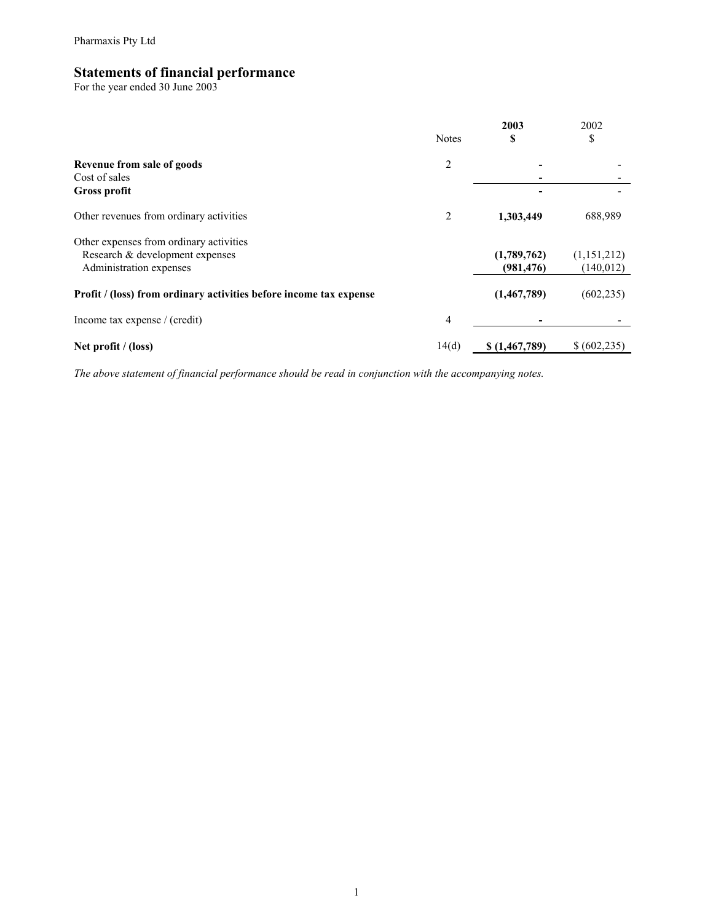#### **Statements of financial performance**

For the year ended 30 June 2003

|                                                                           | <b>Notes</b> | 2003<br>S     | 2002<br>\$    |
|---------------------------------------------------------------------------|--------------|---------------|---------------|
| Revenue from sale of goods                                                | 2            |               |               |
| Cost of sales                                                             |              |               |               |
| <b>Gross profit</b>                                                       |              |               |               |
| Other revenues from ordinary activities                                   | 2            | 1,303,449     | 688,989       |
| Other expenses from ordinary activities                                   |              |               |               |
| Research & development expenses                                           |              | (1,789,762)   | (1, 151, 212) |
| Administration expenses                                                   |              | (981, 476)    | (140, 012)    |
| <b>Profit / (loss) from ordinary activities before income tax expense</b> |              | (1,467,789)   | (602, 235)    |
| Income tax expense / (credit)                                             | 4            |               |               |
| Net profit $/$ (loss)                                                     | 14(d)        | \$(1,467,789) | \$(602,235)   |

*The above statement of financial performance should be read in conjunction with the accompanying notes.*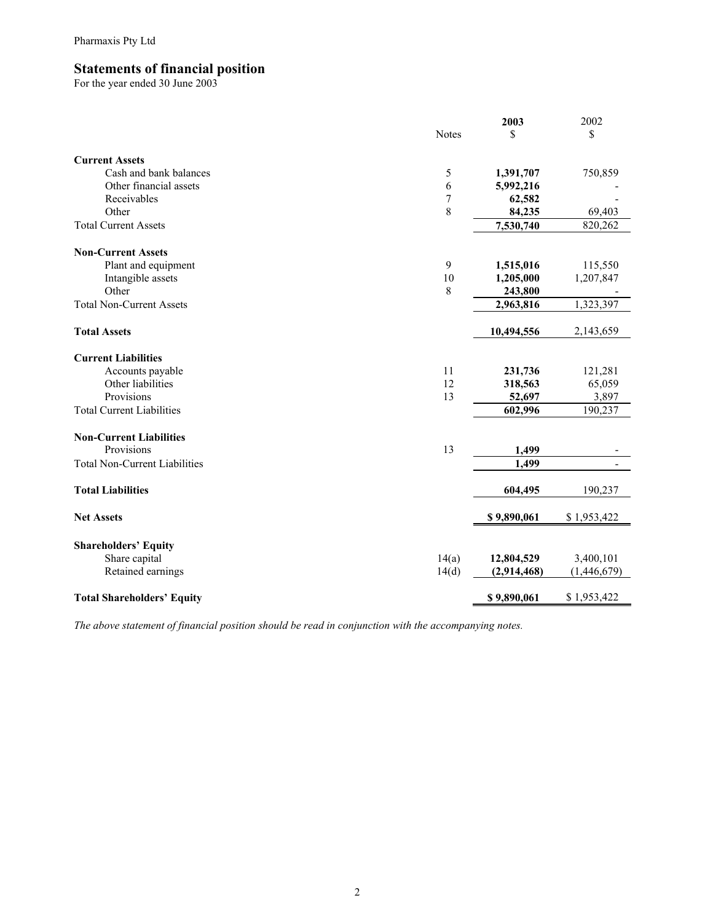#### **Statements of financial position**

For the year ended 30 June 2003

|                                      |              | 2003        | 2002        |
|--------------------------------------|--------------|-------------|-------------|
|                                      | <b>Notes</b> | \$          | \$          |
| <b>Current Assets</b>                |              |             |             |
| Cash and bank balances               | 5            | 1,391,707   | 750,859     |
| Other financial assets               | 6            | 5,992,216   |             |
| Receivables                          | 7            | 62,582      |             |
| Other                                | 8            | 84,235      | 69,403      |
| <b>Total Current Assets</b>          |              | 7,530,740   | 820,262     |
| <b>Non-Current Assets</b>            |              |             |             |
| Plant and equipment                  | 9            | 1,515,016   | 115,550     |
| Intangible assets                    | 10           | 1,205,000   | 1,207,847   |
| Other                                | 8            | 243,800     |             |
| <b>Total Non-Current Assets</b>      |              | 2,963,816   | 1,323,397   |
| <b>Total Assets</b>                  |              | 10,494,556  | 2,143,659   |
| <b>Current Liabilities</b>           |              |             |             |
| Accounts payable                     | 11           | 231,736     | 121,281     |
| Other liabilities                    | 12           | 318,563     | 65,059      |
| Provisions                           | 13           | 52,697      | 3,897       |
| <b>Total Current Liabilities</b>     |              | 602,996     | 190,237     |
| <b>Non-Current Liabilities</b>       |              |             |             |
| Provisions                           | 13           | 1,499       |             |
| <b>Total Non-Current Liabilities</b> |              | 1,499       |             |
| <b>Total Liabilities</b>             |              | 604,495     | 190,237     |
| <b>Net Assets</b>                    |              | \$9,890,061 | \$1,953,422 |
| <b>Shareholders' Equity</b>          |              |             |             |
| Share capital                        | 14(a)        | 12,804,529  | 3,400,101   |
| Retained earnings                    | 14(d)        | (2,914,468) | (1,446,679) |
| <b>Total Shareholders' Equity</b>    |              | \$9,890,061 | \$1,953,422 |
|                                      |              |             |             |

*The above statement of financial position should be read in conjunction with the accompanying notes.*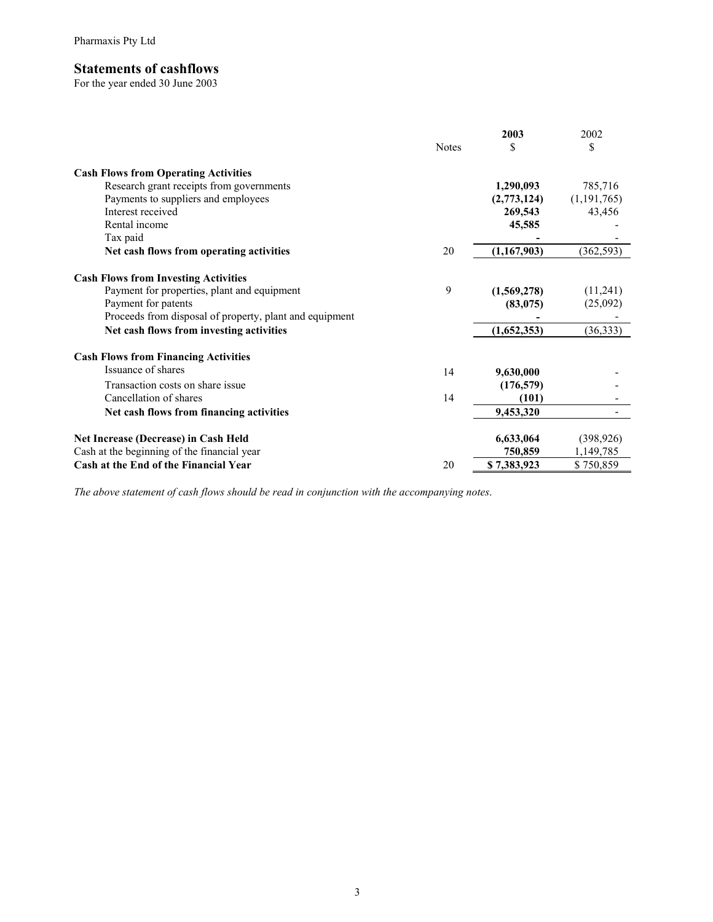#### **Statements of cashflows**

For the year ended 30 June 2003

|                                                         |              | 2003        | 2002          |
|---------------------------------------------------------|--------------|-------------|---------------|
|                                                         | <b>Notes</b> | S           | \$            |
| <b>Cash Flows from Operating Activities</b>             |              |             |               |
| Research grant receipts from governments                |              | 1,290,093   | 785,716       |
| Payments to suppliers and employees                     |              | (2,773,124) | (1, 191, 765) |
| Interest received                                       |              | 269,543     | 43,456        |
| Rental income                                           |              | 45,585      |               |
| Tax paid                                                |              |             |               |
| Net cash flows from operating activities                | 20           | (1,167,903) | (362, 593)    |
| <b>Cash Flows from Investing Activities</b>             |              |             |               |
| Payment for properties, plant and equipment             | 9            | (1,569,278) | (11,241)      |
| Payment for patents                                     |              | (83, 075)   | (25,092)      |
| Proceeds from disposal of property, plant and equipment |              |             |               |
| Net cash flows from investing activities                |              | (1,652,353) | (36, 333)     |
| <b>Cash Flows from Financing Activities</b>             |              |             |               |
| Issuance of shares                                      | 14           | 9,630,000   |               |
| Transaction costs on share issue                        |              | (176, 579)  |               |
| Cancellation of shares                                  | 14           | (101)       |               |
| Net cash flows from financing activities                |              | 9,453,320   |               |
| Net Increase (Decrease) in Cash Held                    |              | 6,633,064   | (398, 926)    |
| Cash at the beginning of the financial year             |              | 750,859     | 1,149,785     |
| Cash at the End of the Financial Year                   | 20           | \$7,383,923 | \$750,859     |

*The above statement of cash flows should be read in conjunction with the accompanying notes*.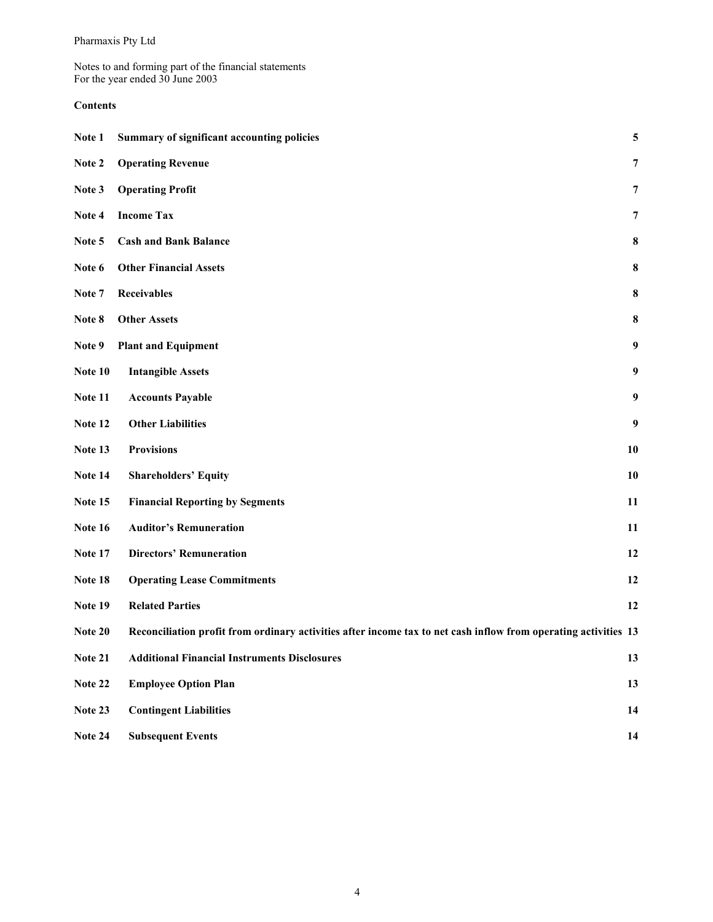Notes to and forming part of the financial statements For the year ended 30 June 2003

#### **Contents**

| Note 1  | Summary of significant accounting policies                                                                      | 5                |
|---------|-----------------------------------------------------------------------------------------------------------------|------------------|
| Note 2  | <b>Operating Revenue</b>                                                                                        | $\overline{7}$   |
| Note 3  | <b>Operating Profit</b>                                                                                         | 7                |
| Note 4  | <b>Income Tax</b>                                                                                               | $\overline{7}$   |
| Note 5  | <b>Cash and Bank Balance</b>                                                                                    | 8                |
| Note 6  | <b>Other Financial Assets</b>                                                                                   | 8                |
| Note 7  | <b>Receivables</b>                                                                                              | 8                |
| Note 8  | <b>Other Assets</b>                                                                                             | 8                |
| Note 9  | <b>Plant and Equipment</b>                                                                                      | $\boldsymbol{9}$ |
| Note 10 | <b>Intangible Assets</b>                                                                                        | 9                |
| Note 11 | <b>Accounts Payable</b>                                                                                         | $\boldsymbol{9}$ |
| Note 12 | <b>Other Liabilities</b>                                                                                        | $\boldsymbol{9}$ |
| Note 13 | <b>Provisions</b>                                                                                               | 10               |
| Note 14 | <b>Shareholders' Equity</b>                                                                                     | 10               |
| Note 15 | <b>Financial Reporting by Segments</b>                                                                          | 11               |
| Note 16 | <b>Auditor's Remuneration</b>                                                                                   | 11               |
| Note 17 | <b>Directors' Remuneration</b>                                                                                  | 12               |
| Note 18 | <b>Operating Lease Commitments</b>                                                                              | 12               |
| Note 19 | <b>Related Parties</b>                                                                                          | 12               |
| Note 20 | Reconciliation profit from ordinary activities after income tax to net cash inflow from operating activities 13 |                  |
| Note 21 | <b>Additional Financial Instruments Disclosures</b>                                                             | 13               |
| Note 22 | <b>Employee Option Plan</b>                                                                                     | 13               |
| Note 23 | <b>Contingent Liabilities</b>                                                                                   | 14               |
| Note 24 | <b>Subsequent Events</b>                                                                                        | 14               |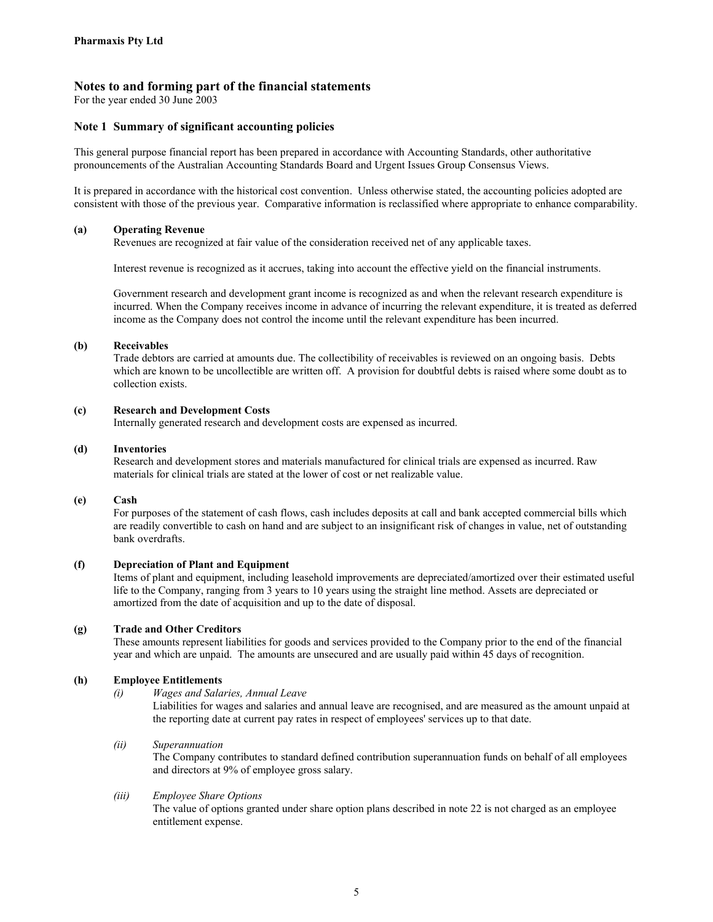For the year ended 30 June 2003

#### **Note 1 Summary of significant accounting policies**

This general purpose financial report has been prepared in accordance with Accounting Standards, other authoritative pronouncements of the Australian Accounting Standards Board and Urgent Issues Group Consensus Views.

It is prepared in accordance with the historical cost convention. Unless otherwise stated, the accounting policies adopted are consistent with those of the previous year. Comparative information is reclassified where appropriate to enhance comparability.

#### **(a) Operating Revenue**

Revenues are recognized at fair value of the consideration received net of any applicable taxes.

Interest revenue is recognized as it accrues, taking into account the effective yield on the financial instruments.

Government research and development grant income is recognized as and when the relevant research expenditure is incurred. When the Company receives income in advance of incurring the relevant expenditure, it is treated as deferred income as the Company does not control the income until the relevant expenditure has been incurred.

#### **(b) Receivables**

Trade debtors are carried at amounts due. The collectibility of receivables is reviewed on an ongoing basis. Debts which are known to be uncollectible are written off. A provision for doubtful debts is raised where some doubt as to collection exists.

#### **(c) Research and Development Costs**

Internally generated research and development costs are expensed as incurred.

#### **(d) Inventories**

Research and development stores and materials manufactured for clinical trials are expensed as incurred. Raw materials for clinical trials are stated at the lower of cost or net realizable value.

#### **(e) Cash**

For purposes of the statement of cash flows, cash includes deposits at call and bank accepted commercial bills which are readily convertible to cash on hand and are subject to an insignificant risk of changes in value, net of outstanding bank overdrafts.

#### **(f) Depreciation of Plant and Equipment**

Items of plant and equipment, including leasehold improvements are depreciated/amortized over their estimated useful life to the Company, ranging from 3 years to 10 years using the straight line method. Assets are depreciated or amortized from the date of acquisition and up to the date of disposal.

#### **(g) Trade and Other Creditors**

These amounts represent liabilities for goods and services provided to the Company prior to the end of the financial year and which are unpaid. The amounts are unsecured and are usually paid within 45 days of recognition.

#### **(h) Employee Entitlements**

#### *(i) Wages and Salaries, Annual Leave*

Liabilities for wages and salaries and annual leave are recognised, and are measured as the amount unpaid at the reporting date at current pay rates in respect of employees' services up to that date.

#### *(ii) Superannuation*

The Company contributes to standard defined contribution superannuation funds on behalf of all employees and directors at 9% of employee gross salary.

#### *(iii) Employee Share Options*

The value of options granted under share option plans described in note 22 is not charged as an employee entitlement expense.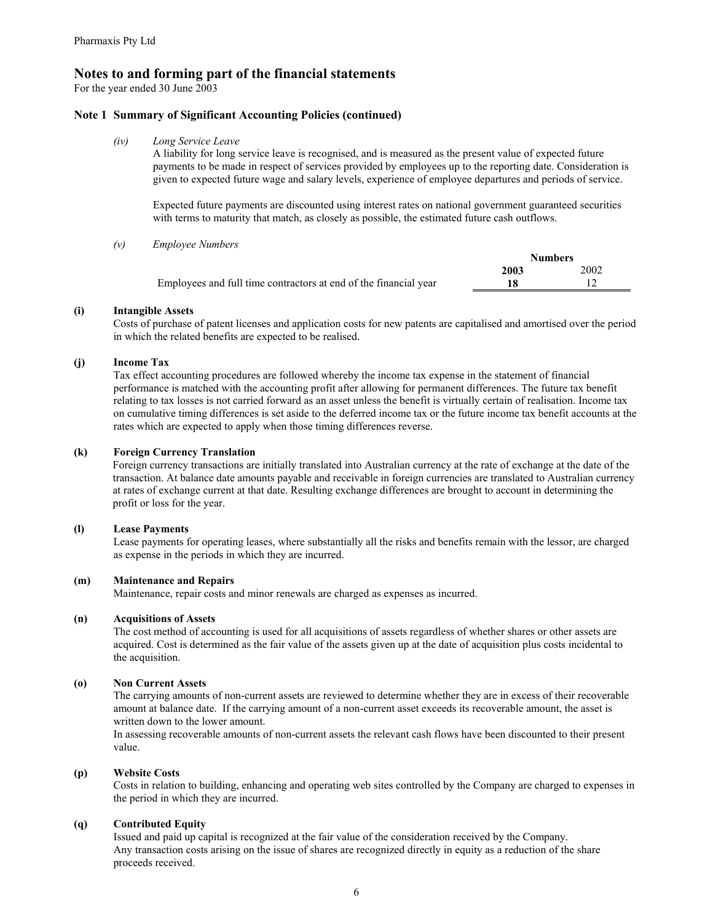For the year ended 30 June 2003

#### **Note 1 Summary of Significant Accounting Policies (continued)**

*(iv) Long Service Leave* 

A liability for long service leave is recognised, and is measured as the present value of expected future payments to be made in respect of services provided by employees up to the reporting date. Consideration is given to expected future wage and salary levels, experience of employee departures and periods of service.

Expected future payments are discounted using interest rates on national government guaranteed securities with terms to maturity that match, as closely as possible, the estimated future cash outflows.

*(v) Employee Numbers* 

|                                                                  | <b>Numbers</b> |      |  |
|------------------------------------------------------------------|----------------|------|--|
|                                                                  | 2003           | 2002 |  |
| Employees and full time contractors at end of the financial year |                |      |  |

#### **(i) Intangible Assets**

Costs of purchase of patent licenses and application costs for new patents are capitalised and amortised over the period in which the related benefits are expected to be realised.

#### **(j) Income Tax**

Tax effect accounting procedures are followed whereby the income tax expense in the statement of financial performance is matched with the accounting profit after allowing for permanent differences. The future tax benefit relating to tax losses is not carried forward as an asset unless the benefit is virtually certain of realisation. Income tax on cumulative timing differences is set aside to the deferred income tax or the future income tax benefit accounts at the rates which are expected to apply when those timing differences reverse.

#### **(k) Foreign Currency Translation**

Foreign currency transactions are initially translated into Australian currency at the rate of exchange at the date of the transaction. At balance date amounts payable and receivable in foreign currencies are translated to Australian currency at rates of exchange current at that date. Resulting exchange differences are brought to account in determining the profit or loss for the year.

#### **(l) Lease Payments**

Lease payments for operating leases, where substantially all the risks and benefits remain with the lessor, are charged as expense in the periods in which they are incurred.

#### **(m) Maintenance and Repairs**

Maintenance, repair costs and minor renewals are charged as expenses as incurred.

#### **(n) Acquisitions of Assets**

The cost method of accounting is used for all acquisitions of assets regardless of whether shares or other assets are acquired. Cost is determined as the fair value of the assets given up at the date of acquisition plus costs incidental to the acquisition.

#### **(o) Non Current Assets**

The carrying amounts of non-current assets are reviewed to determine whether they are in excess of their recoverable amount at balance date. If the carrying amount of a non-current asset exceeds its recoverable amount, the asset is written down to the lower amount.

In assessing recoverable amounts of non-current assets the relevant cash flows have been discounted to their present value.

#### **(p) Website Costs**

Costs in relation to building, enhancing and operating web sites controlled by the Company are charged to expenses in the period in which they are incurred.

#### **(q) Contributed Equity**

Issued and paid up capital is recognized at the fair value of the consideration received by the Company. Any transaction costs arising on the issue of shares are recognized directly in equity as a reduction of the share proceeds received.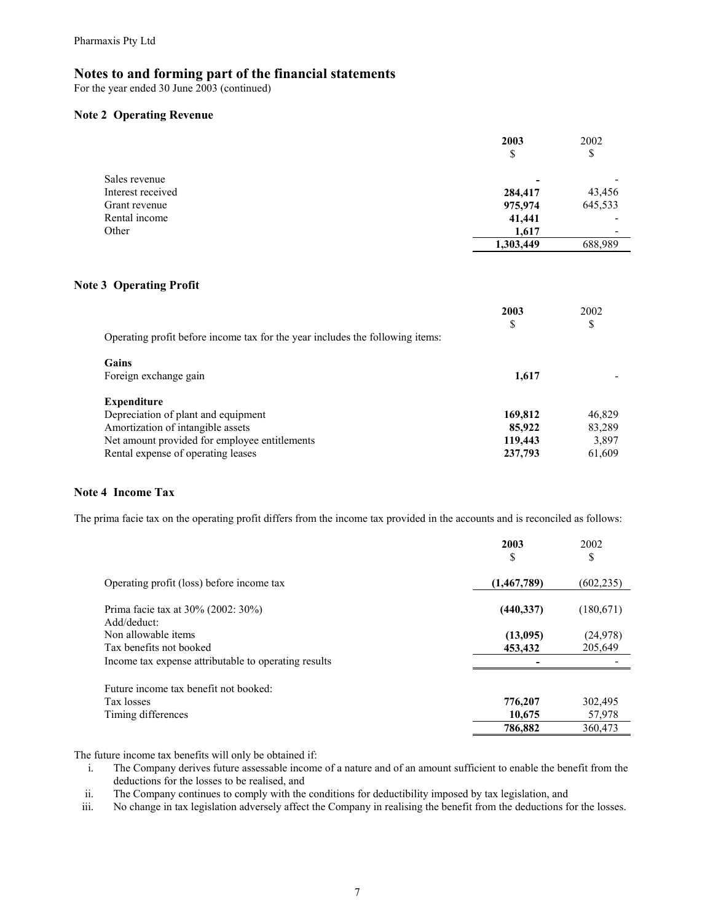For the year ended 30 June 2003 (continued)

#### **Note 2 Operating Revenue**

|                   | 2003<br>\$ | 2002<br>\$               |
|-------------------|------------|--------------------------|
| Sales revenue     | ۰          | -                        |
| Interest received | 284,417    | 43,456                   |
| Grant revenue     | 975,974    | 645,533                  |
| Rental income     | 41,441     | $\overline{\phantom{0}}$ |
| Other             | 1,617      | ٠                        |
|                   | 1,303,449  | 688,989                  |

#### **Note 3 Operating Profit**

|                                                                               | 2003<br>S | 2002<br>\$ |
|-------------------------------------------------------------------------------|-----------|------------|
| Operating profit before income tax for the year includes the following items: |           |            |
| Gains                                                                         |           |            |
| Foreign exchange gain                                                         | 1,617     |            |
| <b>Expenditure</b>                                                            |           |            |
| Depreciation of plant and equipment                                           | 169,812   | 46,829     |
| Amortization of intangible assets                                             | 85,922    | 83,289     |
| Net amount provided for employee entitlements                                 | 119,443   | 3,897      |
| Rental expense of operating leases                                            | 237,793   | 61,609     |

#### **Note 4 Income Tax**

The prima facie tax on the operating profit differs from the income tax provided in the accounts and is reconciled as follows:

|                                                      | 2003        | 2002       |
|------------------------------------------------------|-------------|------------|
|                                                      | \$          | \$         |
| Operating profit (loss) before income tax            | (1,467,789) | (602, 235) |
| Prima facie tax at 30% (2002: 30%)<br>Add/deduct:    | (440, 337)  | (180, 671) |
| Non allowable items                                  | (13,095)    | (24, 978)  |
| Tax benefits not booked                              | 453,432     | 205,649    |
| Income tax expense attributable to operating results |             |            |
| Future income tax benefit not booked:                |             |            |
| Tax losses                                           | 776,207     | 302,495    |
| Timing differences                                   | 10,675      | 57,978     |
|                                                      | 786,882     | 360,473    |

The future income tax benefits will only be obtained if:

i. The Company derives future assessable income of a nature and of an amount sufficient to enable the benefit from the deductions for the losses to be realised, and

ii. The Company continues to comply with the conditions for deductibility imposed by tax legislation, and

iii. No change in tax legislation adversely affect the Company in realising the benefit from the deductions for the losses.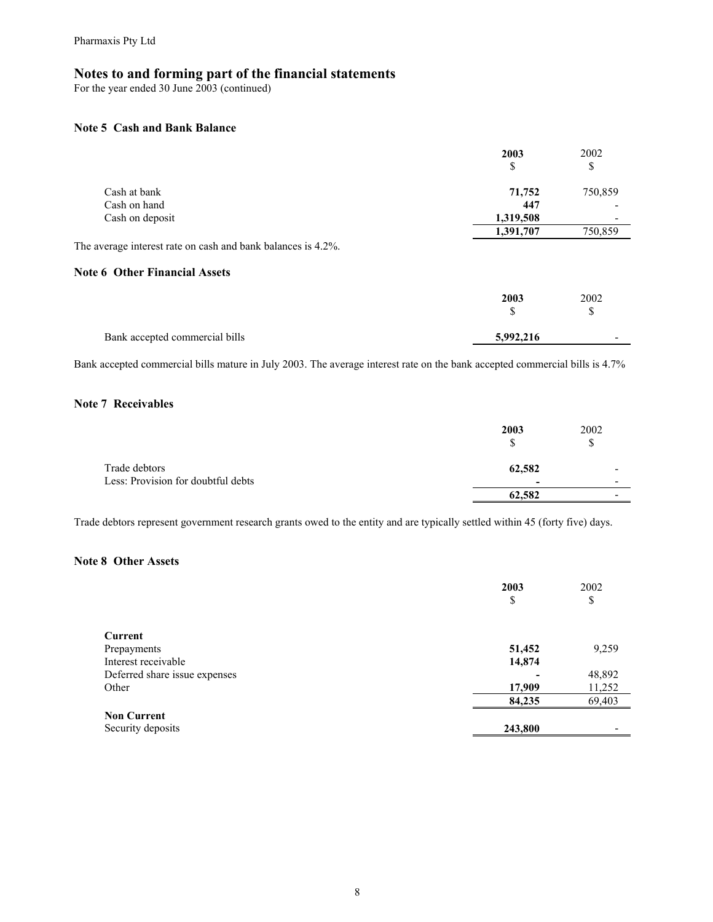For the year ended 30 June 2003 (continued)

#### **Note 5 Cash and Bank Balance**

|                                                              | 2003      | 2002    |
|--------------------------------------------------------------|-----------|---------|
|                                                              | \$        | \$      |
| Cash at bank                                                 | 71,752    | 750,859 |
| Cash on hand                                                 | 447       |         |
| Cash on deposit                                              | 1,319,508 |         |
|                                                              | 1,391,707 | 750,859 |
| The average interest rate on cash and bank balances is 4.2%. |           |         |
| <b>Note 6 Other Financial Assets</b>                         |           |         |
|                                                              | 2003      | 2002    |
|                                                              | \$        | S       |
| Bank accepted commercial bills                               | 5,992,216 |         |

Bank accepted commercial bills mature in July 2003. The average interest rate on the bank accepted commercial bills is 4.7%

#### **Note 7 Receivables**

|                                                     | 2003<br>ъ                          | 2002<br>J |
|-----------------------------------------------------|------------------------------------|-----------|
| Trade debtors<br>Less: Provision for doubtful debts | 62,582<br>$\overline{\phantom{a}}$ | ۰<br>-    |
|                                                     | 62,582                             | -         |

Trade debtors represent government research grants owed to the entity and are typically settled within 45 (forty five) days.

#### **Note 8 Other Assets**

|                                         | 2003<br>\$ | 2002<br>\$ |
|-----------------------------------------|------------|------------|
| Current                                 |            |            |
| Prepayments                             | 51,452     | 9,259      |
| Interest receivable                     | 14,874     |            |
| Deferred share issue expenses           |            | 48,892     |
| Other                                   | 17,909     | 11,252     |
|                                         | 84,235     | 69,403     |
| <b>Non Current</b><br>Security deposits | 243,800    |            |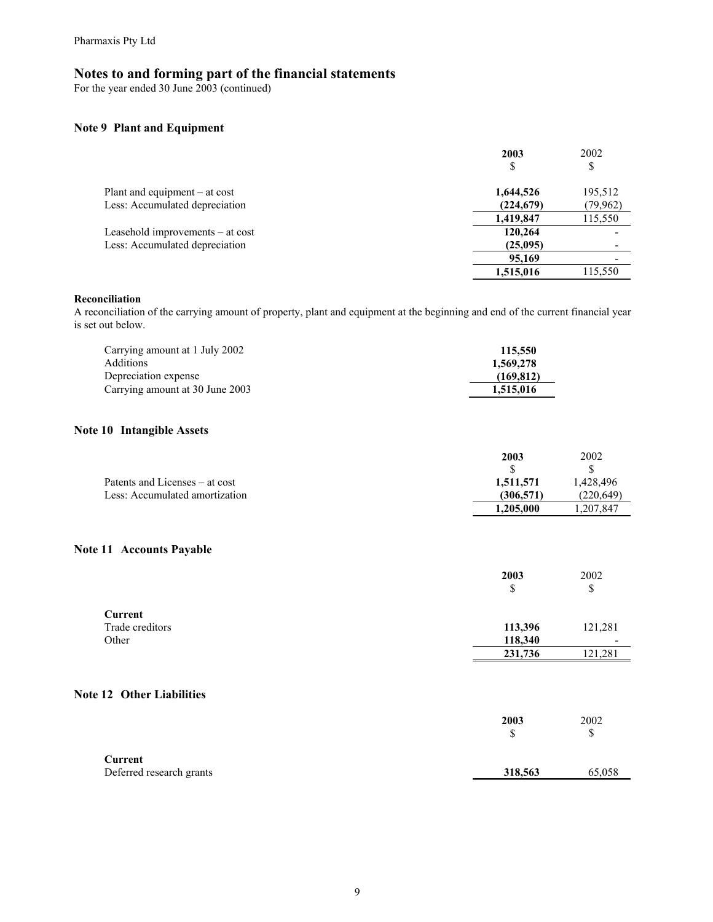For the year ended 30 June 2003 (continued)

#### **Note 9 Plant and Equipment**

|                                    | 2003       | 2002      |
|------------------------------------|------------|-----------|
|                                    | \$         | S         |
| Plant and equipment $-$ at cost    | 1,644,526  | 195,512   |
| Less: Accumulated depreciation     | (224, 679) | (79, 962) |
|                                    | 1,419,847  | 115,550   |
| Leasehold improvements $-$ at cost | 120,264    |           |
| Less: Accumulated depreciation     | (25,095)   | -         |
|                                    | 95,169     |           |
|                                    | 1,515,016  | 115,550   |

#### **Reconciliation**

A reconciliation of the carrying amount of property, plant and equipment at the beginning and end of the current financial year is set out below.

| Carrying amount at 1 July 2002  | 115,550   |
|---------------------------------|-----------|
| <b>Additions</b>                | 1,569,278 |
| Depreciation expense            | (169.812) |
| Carrying amount at 30 June 2003 | 1,515,016 |

#### **Note 10 Intangible Assets**

|                                | 2003      | 2002      |
|--------------------------------|-----------|-----------|
|                                |           |           |
| Patents and Licenses – at cost | 1,511,571 | 1.428.496 |
| Less: Accumulated amortization | (306.571) | (220.649) |
|                                | 1,205,000 | .207,847  |

#### **Note 11 Accounts Payable**

|                                  | 2003<br>\$ | 2002<br>\$ |
|----------------------------------|------------|------------|
| Current                          |            |            |
| Trade creditors                  | 113,396    | 121,281    |
| Other                            | 118,340    | -          |
|                                  | 231,736    | 121,281    |
| <b>Note 12 Other Liabilities</b> |            |            |
|                                  | 2003<br>\$ | 2002<br>\$ |
| <b>Current</b>                   |            |            |
| Deferred research grants         | 318,563    | 65,058     |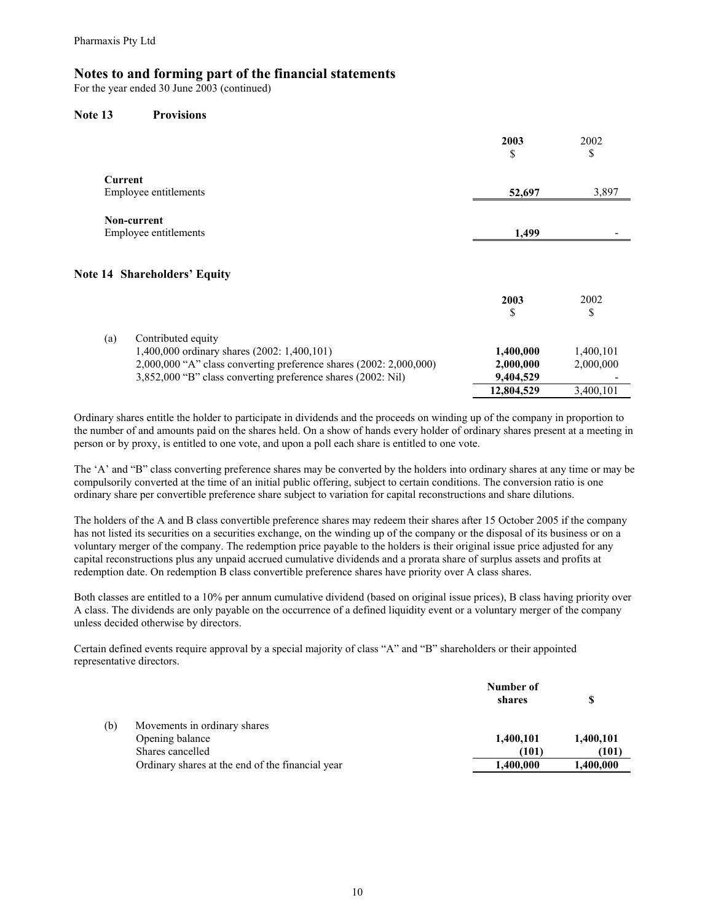For the year ended 30 June 2003 (continued)

#### **Note 13 Provisions**

|                                                                    | 2003<br>\$ | 2002<br>\$ |
|--------------------------------------------------------------------|------------|------------|
| Current                                                            |            |            |
| Employee entitlements                                              | 52,697     | 3,897      |
| Non-current                                                        |            |            |
| Employee entitlements                                              | 1,499      |            |
| <b>Note 14 Shareholders' Equity</b>                                | 2003<br>\$ | 2002<br>\$ |
| (a)<br>Contributed equity                                          |            |            |
| 1,400,000 ordinary shares (2002: 1,400,101)                        | 1,400,000  | 1,400,101  |
| 2,000,000 "A" class converting preference shares (2002: 2,000,000) | 2,000,000  | 2,000,000  |
| 3,852,000 "B" class converting preference shares (2002: Nil)       | 9,404,529  |            |
|                                                                    | 12,804,529 | 3,400,101  |

Ordinary shares entitle the holder to participate in dividends and the proceeds on winding up of the company in proportion to the number of and amounts paid on the shares held. On a show of hands every holder of ordinary shares present at a meeting in person or by proxy, is entitled to one vote, and upon a poll each share is entitled to one vote.

The 'A' and "B" class converting preference shares may be converted by the holders into ordinary shares at any time or may be compulsorily converted at the time of an initial public offering, subject to certain conditions. The conversion ratio is one ordinary share per convertible preference share subject to variation for capital reconstructions and share dilutions.

The holders of the A and B class convertible preference shares may redeem their shares after 15 October 2005 if the company has not listed its securities on a securities exchange, on the winding up of the company or the disposal of its business or on a voluntary merger of the company. The redemption price payable to the holders is their original issue price adjusted for any capital reconstructions plus any unpaid accrued cumulative dividends and a prorata share of surplus assets and profits at redemption date. On redemption B class convertible preference shares have priority over A class shares.

Both classes are entitled to a 10% per annum cumulative dividend (based on original issue prices), B class having priority over A class. The dividends are only payable on the occurrence of a defined liquidity event or a voluntary merger of the company unless decided otherwise by directors.

Certain defined events require approval by a special majority of class "A" and "B" shareholders or their appointed representative directors.

|     |                                                  | Number of |           |
|-----|--------------------------------------------------|-----------|-----------|
|     |                                                  | shares    |           |
| (b) | Movements in ordinary shares                     |           |           |
|     | Opening balance                                  | 1,400,101 | 1,400,101 |
|     | Shares cancelled                                 | (101)     | (101)     |
|     | Ordinary shares at the end of the financial year | 1,400,000 | 1,400,000 |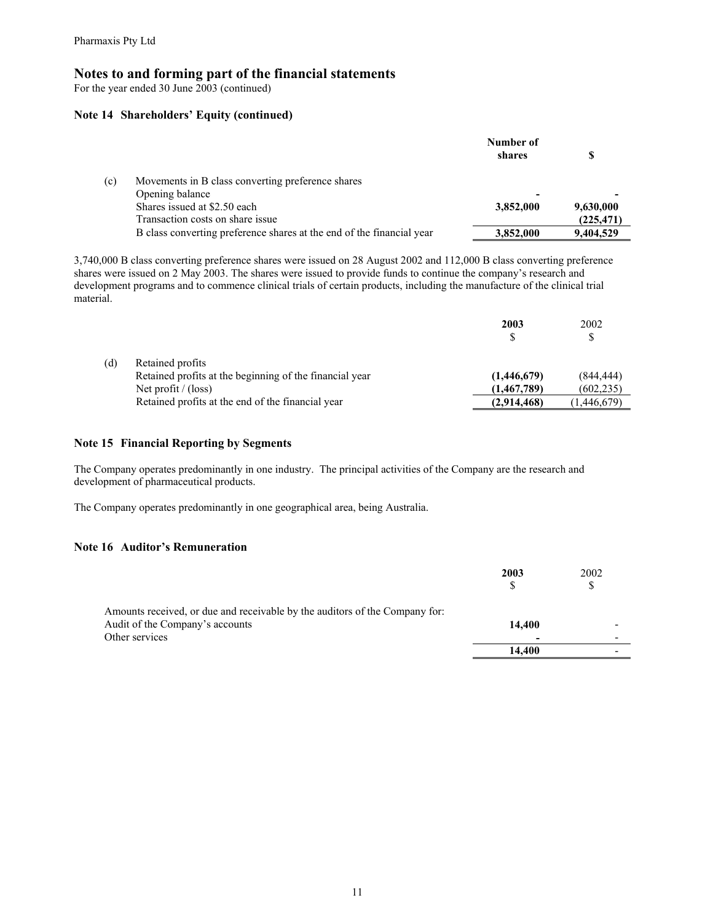For the year ended 30 June 2003 (continued)

#### **Note 14 Shareholders' Equity (continued)**

|     |                                                                       | Number of |            |  |
|-----|-----------------------------------------------------------------------|-----------|------------|--|
|     |                                                                       | shares    |            |  |
| (c) | Movements in B class converting preference shares                     |           |            |  |
|     | Opening balance                                                       |           | -          |  |
|     | Shares issued at \$2.50 each                                          | 3,852,000 | 9,630,000  |  |
|     | Transaction costs on share issue                                      |           | (225, 471) |  |
|     | B class converting preference shares at the end of the financial year | 3,852,000 | 9,404,529  |  |
|     |                                                                       |           |            |  |

3,740,000 B class converting preference shares were issued on 28 August 2002 and 112,000 B class converting preference shares were issued on 2 May 2003. The shares were issued to provide funds to continue the company's research and development programs and to commence clinical trials of certain products, including the manufacture of the clinical trial material.

|     |                                                         | 2003        | 2002        |
|-----|---------------------------------------------------------|-------------|-------------|
|     |                                                         |             |             |
| (d) | Retained profits                                        |             |             |
|     | Retained profits at the beginning of the financial year | (1,446,679) | (844, 444)  |
|     | Net profit $/$ (loss)                                   | (1,467,789) | (602, 235)  |
|     | Retained profits at the end of the financial year       | (2,914,468) | (1,446,679) |

#### **Note 15 Financial Reporting by Segments**

The Company operates predominantly in one industry. The principal activities of the Company are the research and development of pharmaceutical products.

The Company operates predominantly in one geographical area, being Australia.

#### **Note 16 Auditor's Remuneration**

|                                                                                                                                  | 2003<br>S   | 2002                          |
|----------------------------------------------------------------------------------------------------------------------------------|-------------|-------------------------------|
| Amounts received, or due and receivable by the auditors of the Company for:<br>Audit of the Company's accounts<br>Other services | 14.400<br>- | -<br>$\overline{\phantom{0}}$ |
|                                                                                                                                  | 14.400      | -                             |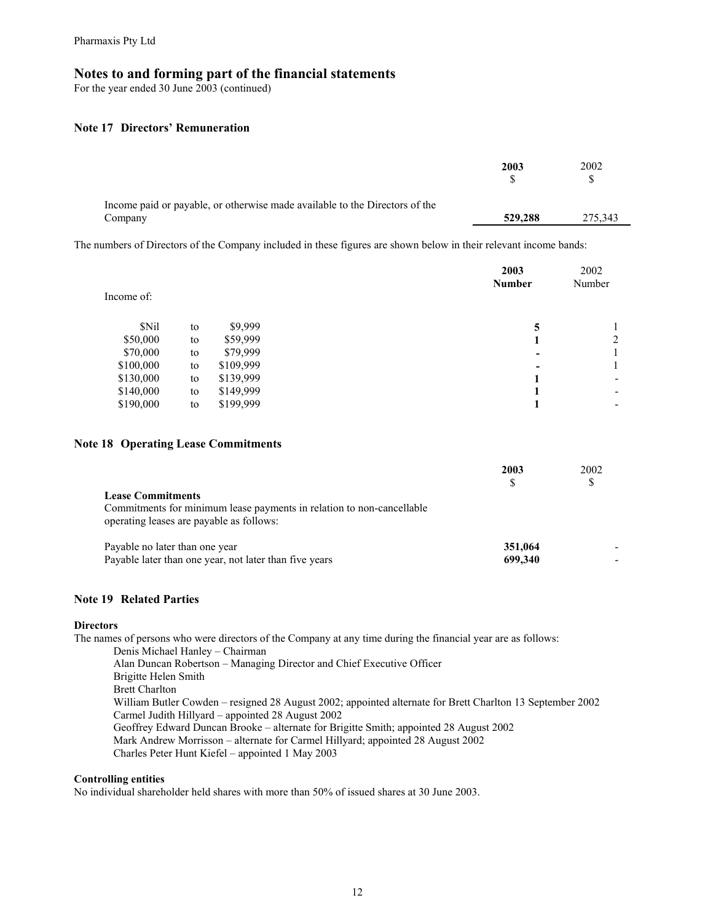For the year ended 30 June 2003 (continued)

#### **Note 17 Directors' Remuneration**

|                                                                                        | 2003    | 2002    |
|----------------------------------------------------------------------------------------|---------|---------|
| Income paid or payable, or otherwise made available to the Directors of the<br>Company | 529,288 | 275.343 |

The numbers of Directors of the Company included in these figures are shown below in their relevant income bands:

| Income of: |    |           | 2003<br><b>Number</b> | 2002<br>Number |
|------------|----|-----------|-----------------------|----------------|
| \$Nil      | to | \$9,999   | 5                     |                |
| \$50,000   | to | \$59,999  |                       | 2              |
| \$70,000   | to | \$79,999  |                       |                |
| \$100,000  | to | \$109,999 |                       |                |
| \$130,000  | to | \$139,999 |                       | ۰              |
| \$140,000  | to | \$149,999 |                       | -              |
| \$190,000  | to | \$199,999 |                       | -              |
|            |    |           |                       |                |

#### **Note 18 Operating Lease Commitments**

|                                                                                                                                               | 2003               | 2002 |
|-----------------------------------------------------------------------------------------------------------------------------------------------|--------------------|------|
| <b>Lease Commitments</b><br>Commitments for minimum lease payments in relation to non-cancellable<br>operating leases are payable as follows: |                    |      |
| Payable no later than one year<br>Payable later than one year, not later than five years                                                      | 351,064<br>699.340 |      |

#### **Note 19 Related Parties**

#### **Directors**

The names of persons who were directors of the Company at any time during the financial year are as follows:

Denis Michael Hanley – Chairman Alan Duncan Robertson – Managing Director and Chief Executive Officer Brigitte Helen Smith Brett Charlton William Butler Cowden – resigned 28 August 2002; appointed alternate for Brett Charlton 13 September 2002 Carmel Judith Hillyard – appointed 28 August 2002 Geoffrey Edward Duncan Brooke – alternate for Brigitte Smith; appointed 28 August 2002 Mark Andrew Morrisson – alternate for Carmel Hillyard; appointed 28 August 2002 Charles Peter Hunt Kiefel – appointed 1 May 2003

#### **Controlling entities**

No individual shareholder held shares with more than 50% of issued shares at 30 June 2003.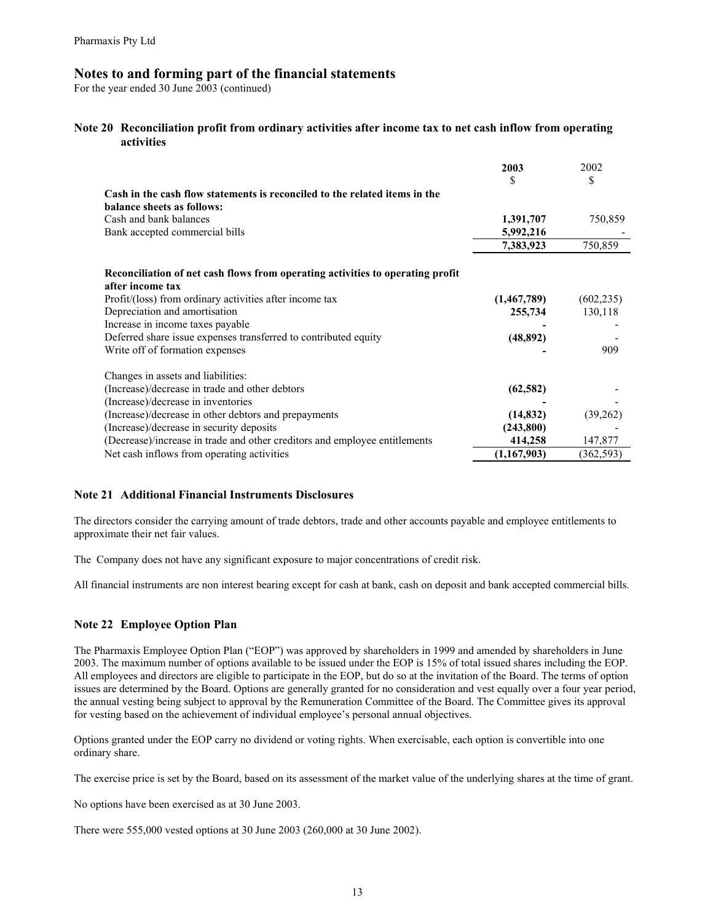For the year ended 30 June 2003 (continued)

#### **Note 20 Reconciliation profit from ordinary activities after income tax to net cash inflow from operating activities**

| Cash in the cash flow statements is reconciled to the related items in the<br>balance sheets as follows:                                                                                                                                                                                                                                 | 2003<br>\$                                     | 2002<br>S                    |
|------------------------------------------------------------------------------------------------------------------------------------------------------------------------------------------------------------------------------------------------------------------------------------------------------------------------------------------|------------------------------------------------|------------------------------|
| Cash and bank balances                                                                                                                                                                                                                                                                                                                   | 1,391,707                                      | 750,859                      |
| Bank accepted commercial bills                                                                                                                                                                                                                                                                                                           | 5,992,216                                      |                              |
|                                                                                                                                                                                                                                                                                                                                          | 7,383,923                                      | 750,859                      |
| Reconciliation of net cash flows from operating activities to operating profit<br>after income tax<br>Profit/(loss) from ordinary activities after income tax<br>Depreciation and amortisation<br>Increase in income taxes payable<br>Deferred share issue expenses transferred to contributed equity<br>Write off of formation expenses | (1,467,789)<br>255,734<br>(48, 892)            | (602, 235)<br>130,118<br>909 |
| Changes in assets and liabilities:<br>(Increase)/decrease in trade and other debtors<br>(Increase)/decrease in inventories<br>(Increase)/decrease in other debtors and prepayments<br>(Increase)/decrease in security deposits<br>(Decrease)/increase in trade and other creditors and employee entitlements                             | (62, 582)<br>(14, 832)<br>(243,800)<br>414,258 | (39,262)<br>147,877          |
| Net cash inflows from operating activities                                                                                                                                                                                                                                                                                               | (1,167,903)                                    | (362, 593)                   |

#### **Note 21 Additional Financial Instruments Disclosures**

The directors consider the carrying amount of trade debtors, trade and other accounts payable and employee entitlements to approximate their net fair values.

The Company does not have any significant exposure to major concentrations of credit risk.

All financial instruments are non interest bearing except for cash at bank, cash on deposit and bank accepted commercial bills.

#### **Note 22 Employee Option Plan**

The Pharmaxis Employee Option Plan ("EOP") was approved by shareholders in 1999 and amended by shareholders in June 2003. The maximum number of options available to be issued under the EOP is 15% of total issued shares including the EOP. All employees and directors are eligible to participate in the EOP, but do so at the invitation of the Board. The terms of option issues are determined by the Board. Options are generally granted for no consideration and vest equally over a four year period, the annual vesting being subject to approval by the Remuneration Committee of the Board. The Committee gives its approval for vesting based on the achievement of individual employee's personal annual objectives.

Options granted under the EOP carry no dividend or voting rights. When exercisable, each option is convertible into one ordinary share.

The exercise price is set by the Board, based on its assessment of the market value of the underlying shares at the time of grant.

No options have been exercised as at 30 June 2003.

There were 555,000 vested options at 30 June 2003 (260,000 at 30 June 2002).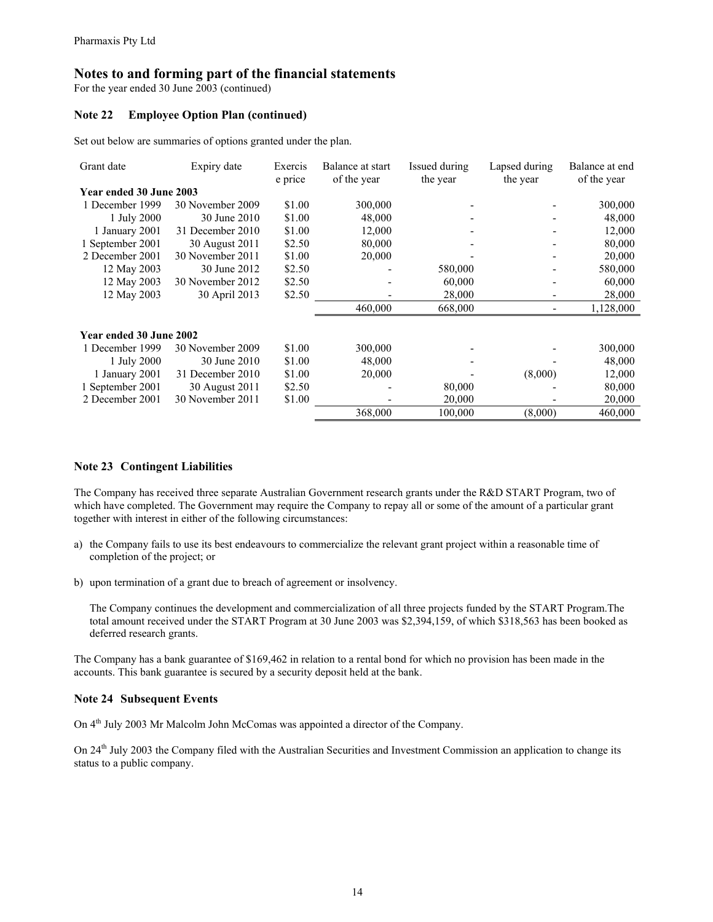For the year ended 30 June 2003 (continued)

#### **Note 22 Employee Option Plan (continued)**

Set out below are summaries of options granted under the plan.

| Grant date              | Expiry date      | Exercis<br>e price | Balance at start<br>of the year | Issued during<br>the year | Lapsed during<br>the year | Balance at end<br>of the year |  |  |  |
|-------------------------|------------------|--------------------|---------------------------------|---------------------------|---------------------------|-------------------------------|--|--|--|
| Year ended 30 June 2003 |                  |                    |                                 |                           |                           |                               |  |  |  |
| 1 December 1999         | 30 November 2009 | \$1.00             | 300,000                         |                           |                           | 300,000                       |  |  |  |
| 1 July 2000             | 30 June 2010     | \$1.00             | 48,000                          |                           |                           | 48,000                        |  |  |  |
| 1 January 2001          | 31 December 2010 | \$1.00             | 12,000                          |                           |                           | 12,000                        |  |  |  |
| 1 September 2001        | 30 August 2011   | \$2.50             | 80,000                          |                           |                           | 80,000                        |  |  |  |
| 2 December 2001         | 30 November 2011 | \$1.00             | 20,000                          |                           |                           | 20,000                        |  |  |  |
| 12 May 2003             | 30 June 2012     | \$2.50             |                                 | 580,000                   |                           | 580,000                       |  |  |  |
| 12 May 2003             | 30 November 2012 | \$2.50             |                                 | 60,000                    |                           | 60,000                        |  |  |  |
| 12 May 2003             | 30 April 2013    | \$2.50             |                                 | 28,000                    |                           | 28,000                        |  |  |  |
|                         |                  |                    | 460,000                         | 668,000                   |                           | 1,128,000                     |  |  |  |
| Year ended 30 June 2002 |                  |                    |                                 |                           |                           |                               |  |  |  |
| 1 December 1999         | 30 November 2009 | \$1.00             | 300,000                         |                           |                           | 300,000                       |  |  |  |
| 1 July 2000             | 30 June 2010     | \$1.00             | 48,000                          |                           |                           | 48,000                        |  |  |  |
| 1 January 2001          | 31 December 2010 | \$1.00             | 20,000                          |                           | (8,000)                   | 12,000                        |  |  |  |
| 1 September 2001        | 30 August 2011   | \$2.50             |                                 | 80,000                    |                           | 80,000                        |  |  |  |
| 2 December 2001         | 30 November 2011 | \$1.00             |                                 | 20,000                    |                           | 20,000                        |  |  |  |
|                         |                  |                    | 368,000                         | 100,000                   | (8,000)                   | 460,000                       |  |  |  |

#### **Note 23 Contingent Liabilities**

The Company has received three separate Australian Government research grants under the R&D START Program, two of which have completed. The Government may require the Company to repay all or some of the amount of a particular grant together with interest in either of the following circumstances:

- a) the Company fails to use its best endeavours to commercialize the relevant grant project within a reasonable time of completion of the project; or
- b) upon termination of a grant due to breach of agreement or insolvency.

The Company continues the development and commercialization of all three projects funded by the START Program.The total amount received under the START Program at 30 June 2003 was \$2,394,159, of which \$318,563 has been booked as deferred research grants.

The Company has a bank guarantee of \$169,462 in relation to a rental bond for which no provision has been made in the accounts. This bank guarantee is secured by a security deposit held at the bank.

#### **Note 24 Subsequent Events**

On 4<sup>th</sup> July 2003 Mr Malcolm John McComas was appointed a director of the Company.

On 24<sup>th</sup> July 2003 the Company filed with the Australian Securities and Investment Commission an application to change its status to a public company.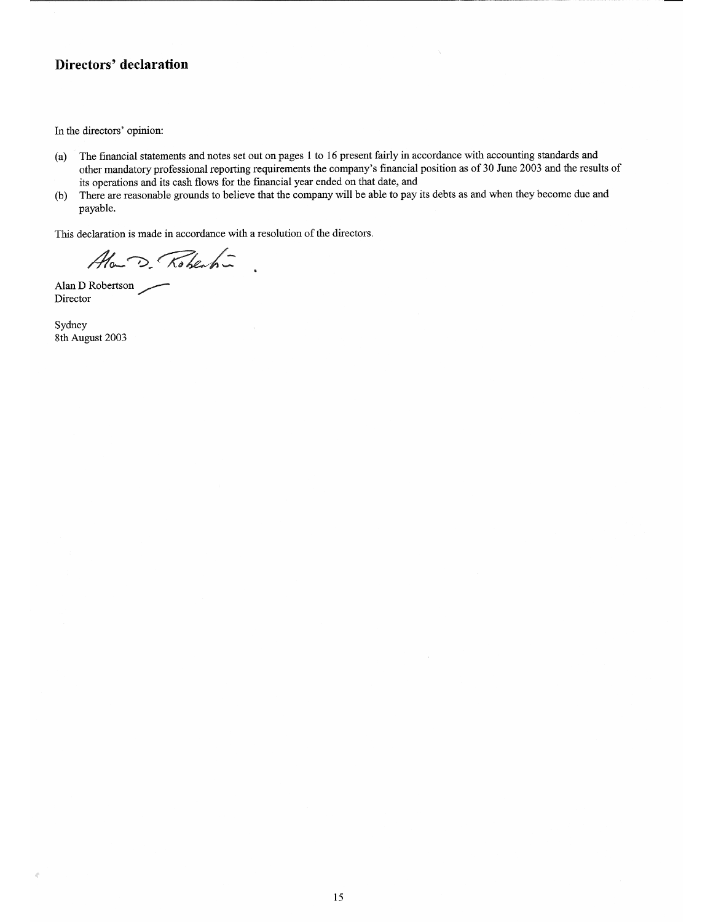#### Directors' declaration

In the directors' opinion:

- The financial statements and notes set out on pages 1 to 16 present fairly in accordance with accounting standards and  $(a)$ other mandatory professional reporting requirements the company's financial position as of 30 June 2003 and the results of its operations and its cash flows for the financial year ended on that date, and
- There are reasonable grounds to believe that the company will be able to pay its debts as and when they become due and  $(b)$ payable.

This declaration is made in accordance with a resolution of the directors.

Ala-D. Robert-

Alan D Robertson Director

Sydney 8th August 2003

 $\vec{q}^i$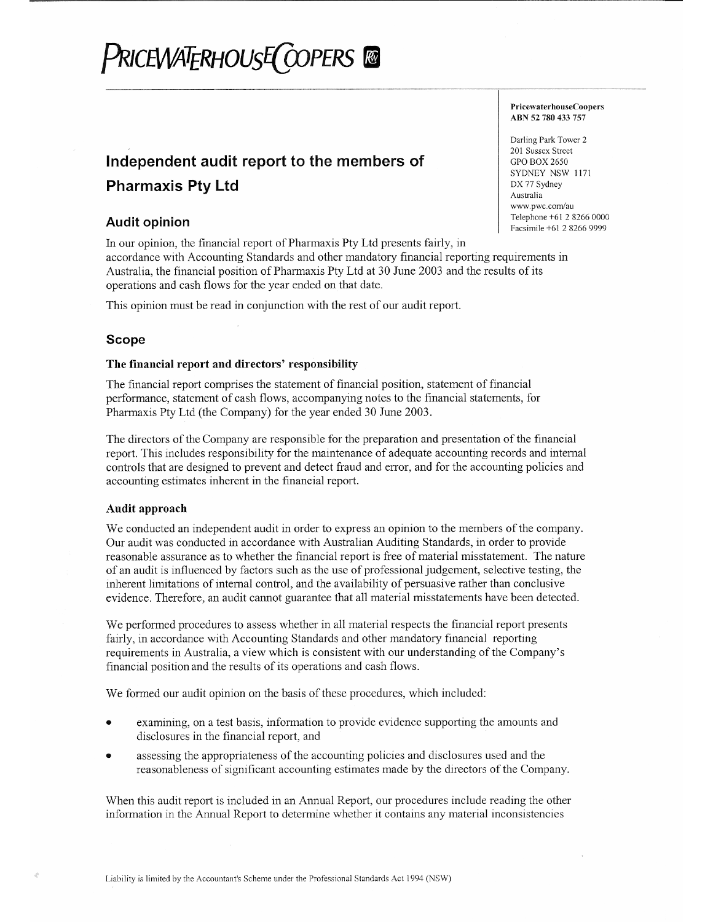# PriceWATERHOUsE(COPERS ®

### Independent audit report to the members of **Pharmaxis Pty Ltd**

#### **Audit opinion**

In our opinion, the financial report of Pharmaxis Pty Ltd presents fairly, in accordance with Accounting Standards and other mandatory financial reporting requirements in Australia, the financial position of Pharmaxis Pty Ltd at 30 June 2003 and the results of its operations and cash flows for the year ended on that date.

This opinion must be read in conjunction with the rest of our audit report.

#### **Scope**

#### The financial report and directors' responsibility

The financial report comprises the statement of financial position, statement of financial performance, statement of cash flows, accompanying notes to the financial statements, for Pharmaxis Pty Ltd (the Company) for the year ended 30 June 2003.

The directors of the Company are responsible for the preparation and presentation of the financial report. This includes responsibility for the maintenance of adequate accounting records and internal controls that are designed to prevent and detect fraud and error, and for the accounting policies and accounting estimates inherent in the financial report.

#### Audit approach

We conducted an independent audit in order to express an opinion to the members of the company. Our audit was conducted in accordance with Australian Auditing Standards, in order to provide reasonable assurance as to whether the financial report is free of material misstatement. The nature of an audit is influenced by factors such as the use of professional judgement, selective testing, the inherent limitations of internal control, and the availability of persuasive rather than conclusive evidence. Therefore, an audit cannot guarantee that all material misstatements have been detected.

We performed procedures to assess whether in all material respects the financial report presents fairly, in accordance with Accounting Standards and other mandatory financial reporting requirements in Australia, a view which is consistent with our understanding of the Company's financial position and the results of its operations and cash flows.

We formed our audit opinion on the basis of these procedures, which included:

- examining, on a test basis, information to provide evidence supporting the amounts and disclosures in the financial report, and
- assessing the appropriateness of the accounting policies and disclosures used and the reasonableness of significant accounting estimates made by the directors of the Company.

When this audit report is included in an Annual Report, our procedures include reading the other information in the Annual Report to determine whether it contains any material inconsistencies

**PricewaterhouseCoopers** ABN 52 780 433 757

Darling Park Tower 2 201 Sussex Street **GPO BOX 2650** SYDNEY NSW 1171 DX 77 Sydney Australia www.pwc.com/au Telephone +61 2 8266 0000 Facsimile +61 2 8266 9999